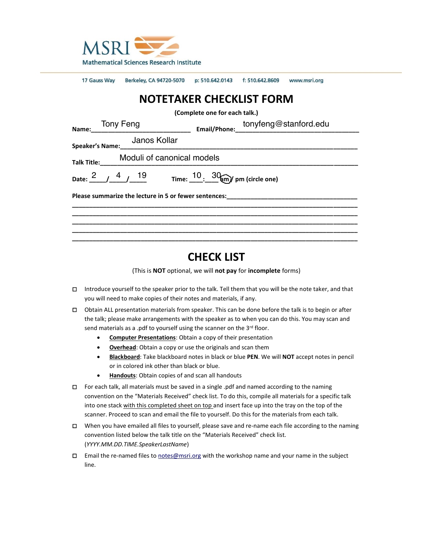

17 Gauss Way Berkeley, CA 94720-5070 p: 510.642.0143 f: 510.642.8609 www.msri.org

# **NOTETAKER CHECKLIST FORM**

**(Complete one for each talk.)**

| Tony Feng<br>———————————————<br>Name:                                                      | tonyfeng@stanford.edu |
|--------------------------------------------------------------------------------------------|-----------------------|
| Janos Kollar<br><b>Speaker's Name:</b>                                                     |                       |
| Moduli of canonical models<br><b>Talk Title:</b>                                           |                       |
| Date: $\frac{2}{1}$ / $\frac{4}{1}$ 19 Time: $\frac{10}{1}$ $\frac{30}{1}$ pm (circle one) |                       |
| Please summarize the lecture in 5 or fewer sentences:                                      |                       |
|                                                                                            |                       |
|                                                                                            |                       |

## **CHECK LIST**

(This is **NOT** optional, we will **not pay** for **incomplete** forms)

- □ Introduce yourself to the speaker prior to the talk. Tell them that you will be the note taker, and that you will need to make copies of their notes and materials, if any.
- □ Obtain ALL presentation materials from speaker. This can be done before the talk is to begin or after the talk; please make arrangements with the speaker as to when you can do this. You may scan and send materials as a .pdf to yourself using the scanner on the 3<sup>rd</sup> floor.
	- **Computer Presentations**: Obtain a copy of their presentation
	- **Overhead**: Obtain a copy or use the originals and scan them
	- **Blackboard**: Take blackboard notes in black or blue **PEN**. We will **NOT** accept notes in pencil or in colored ink other than black or blue.
	- **Handouts**: Obtain copies of and scan all handouts
- □ For each talk, all materials must be saved in a single .pdf and named according to the naming convention on the "Materials Received" check list. To do this, compile all materials for a specific talk into one stack with this completed sheet on top and insert face up into the tray on the top of the scanner. Proceed to scan and email the file to yourself. Do this for the materials from each talk.
- □ When you have emailed all files to yourself, please save and re-name each file according to the naming convention listed below the talk title on the "Materials Received" check list. (*YYYY.MM.DD.TIME.SpeakerLastName*)
- □ Email the re-named files to [notes@msri.org](mailto:notes@msri.org) with the workshop name and your name in the subject line.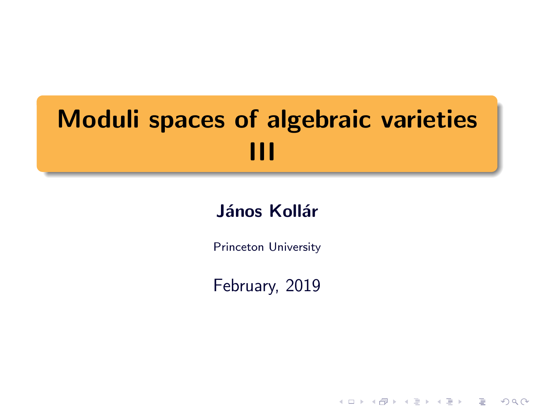# Moduli spaces of algebraic varieties III

#### János Kollár

Princeton University

February, 2019

K ロ ▶ K @ ▶ K 할 > K 할 > 1 할 > 1 이익어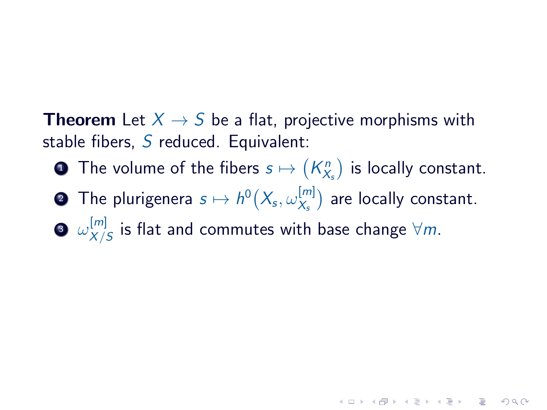**Theorem** Let  $X \rightarrow S$  be a flat, projective morphisms with stable fibers,  $S$  reduced. Equivalent:

- $\textbf{\textbullet{}}$  The volume of the fibers  $s\mapsto \left(K^n_{X_s}\right)$  is locally constant.
- $\textbf{2}$  The plurigenera  $s \mapsto h^0\big(X_{\!s}, \omega_{X_{\text{s}}}^{[m]}\big)$  $\binom{[m]}{\chi_s}$  are locally constant.

3  $\omega_{X/}^{[m]}$  $\frac{[m]}{\chi/S}$  is flat and commutes with base change  $\forall m.$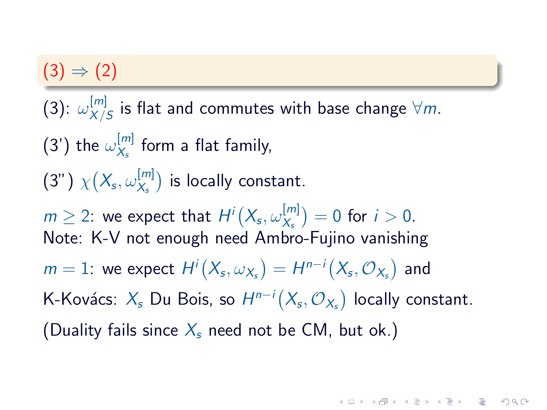### $(3) \Rightarrow (2)$

 $(3)$ :  $\omega_{X/\mathstrut}^{[m]}$  $\frac{[m]}{\chi/S}$  is flat and commutes with base change  $\forall m.$ (3') the  $\omega_{X_s}^{[m]}$  $\frac{1^{m_1}}{X_s}$  form a flat family,  $(3")\;\chi\big(X_{\mathsf s},\omega^{[m]}_{X_{\mathsf s}}$  $\binom{[m]}{\chi_s}$  is locally constant.  $m\geq 2$ : we expect that  $H^i\big(X_{\mathsf{s}},\omega_{X_{\mathsf{s}}}^{[m]} \big)$  $\binom{[m]}{X_s} = 0$  for  $i > 0$ . Note: K-V not enough need Ambro-Fujino vanishing  $m=1$ : we expect  $H^i\big(X_{\!s},\omega_{X_{s}}\big)=H^{n-i}\big(X_{\!s},\mathcal{O}_{X_{s}}\big)$  and K-Kovács:  $\chi_{\!s}$  Du Bois, so  $H^{n-i}\big(X_{\!s},\mathcal{O}_{X_{\!s}}\big)$  locally constant. (Duality fails since  $X_s$  need not be CM, but ok.)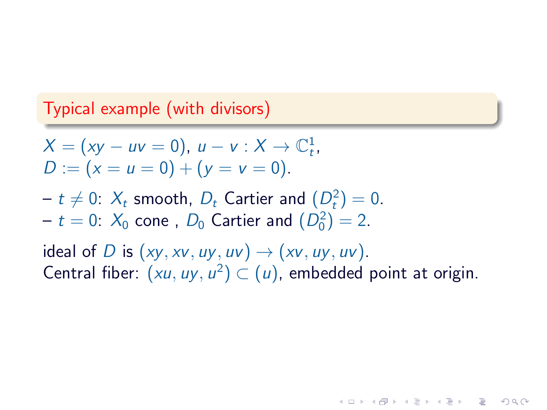#### Typical example (with divisors)

$$
X = (xy - uv = 0), u - v : X \to \mathbb{C}^1_t, D := (x = u = 0) + (y = v = 0).
$$

 $t \neq 0$ :  $X_t$  smooth,  $D_t$  Cartier and  $(D_t^2)=0.$  $- t = 0$ :  $X_0$  cone,  $D_0$  Cartier and  $(D_0^2) = 2$ .

ideal of D is  $(xy, xy, uy, uv) \rightarrow (xy, uy, uv)$ . Central fiber:  $(xu, uy, u^2) \subset (u)$ , embedded point at origin.

**KOR SO KEY (E) E VAN**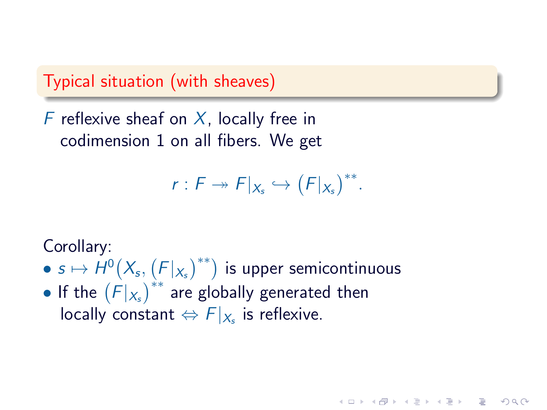Typical situation (with sheaves)

F reflexive sheaf on  $X$ , locally free in codimension 1 on all fibers. We get

 $r: F \twoheadrightarrow F|_{X_s} \hookrightarrow (F|_{X_s})^{**}.$ 

 $\Omega$ 

Corollary:

- $\bullet \, s \mapsto \dot{H}^0\bigl(X_{\!s}, \bigl(F|_{X_{s}}\bigr)^{**}\bigr)$  is upper semicontinuous
- If the  $(F|_{X_s})^{**}$  are globally generated then locally constant  $\Leftrightarrow$   $F|_{X_s}$  is reflexive.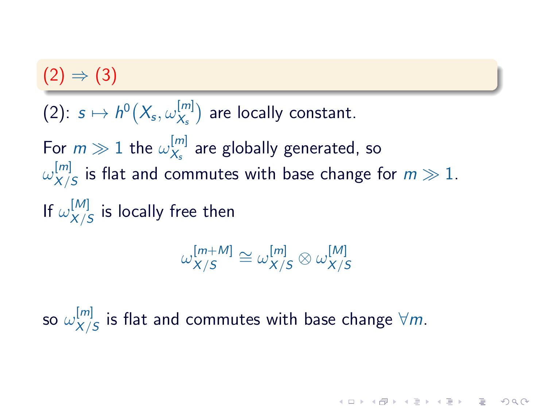### $(2) \Rightarrow (3)$

 $(2)\colon\thinspace s\mapsto h^0\big(X_{\mathsf{s}},\omega^{[m]}_{X_{\mathsf{s}}}\big)$  $\binom{[m]}{\chi_s}$  are locally constant. For  $m\gg 1$  the  $\omega_{X_s}^{[m]}$  $\frac{[m]}{\chi_s}$  are globally generated, so  $\omega^{[m]}_{X}$  $\frac{[m]}{\chi/S}$  is flat and commutes with base change for  $m\gg 1.$ If  $\omega^{[M]}_{X/\ell}$  $\frac{1}{N/S}$  is locally free then

$$
\omega_{X/S}^{[m+M]}\cong \omega_{X/S}^{[m]}\otimes \omega_{X/S}^{[M]}
$$

so  $\omega^{[m]}_{_{X/}}$  $\frac{[m]}{\chi/S}$  is flat and commutes with base change  $\forall m.$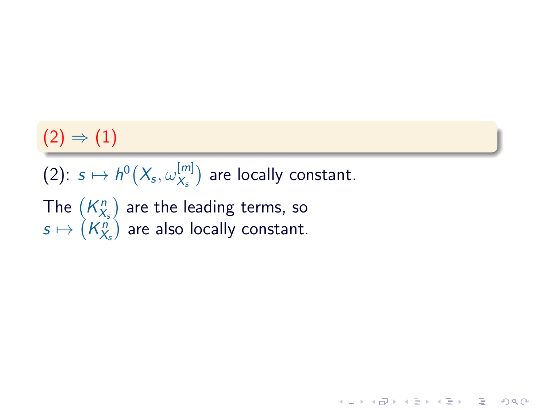## $(2) \Rightarrow (1)$

 $(2)\colon\thinspace s\mapsto h^0\big(X_{\!s},\omega^{[m]}_{X_{\!s}}\big)$  $\binom{[m]}{\chi_s}$  are locally constant.

(ロ) (图) (경) (경) (경) (경) 9 00

The  $\left(K_{X_{s}}^{n}\right)$  are the leading terms, so  $s\mapsto \left( K_{X_{s}}^{n}\right)$  are also locally constant.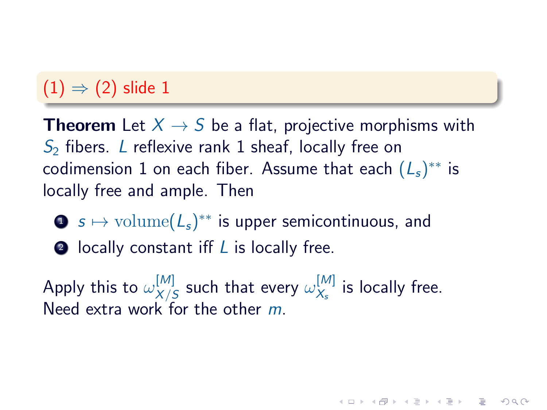## $(1) \Rightarrow (2)$  slide 1

**Theorem** Let  $X \rightarrow S$  be a flat, projective morphisms with  $S<sub>2</sub>$  fibers. L reflexive rank 1 sheaf, locally free on codimension 1 on each fiber. Assume that each  $(L_s)^{**}$  is locally free and ample. Then

- $\bullet \ \ s \mapsto \mathrm{volume}(\mathcal{L}_s)^{**}$  is upper semicontinuous, and
- $\bullet$  locally constant iff  $L$  is locally free.

Apply this to  $\omega_{X/\ell}^{[M]}$  $\frac{[M]}{X/S}$  such that every  $\omega_{X_s}^{[M]}$  $\frac{[M]}{X_s}$  is locally free. Need extra work for the other m.

 $\overline{z}$  (  $\overline{z}$  )  $\overline{z}$  )  $\overline{z}$  )  $\overline{z}$  )  $\overline{z}$ 

 $\Omega$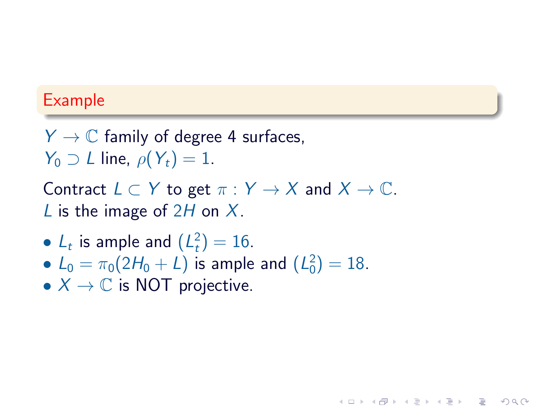#### Example

 $Y \to \mathbb{C}$  family of degree 4 surfaces,  $Y_0 \supset L$  line,  $\rho(Y_t) = 1$ .

Contract  $L \subset Y$  to get  $\pi : Y \to X$  and  $X \to \mathbb{C}$ . L is the image of  $2H$  on X.

**KOR SO KEY (E) E VAN** 

- $L_t$  is ample and  $(L_t^2) = 16$ .
- $L_0 = \pi_0(2H_0 + L)$  is ample and  $(L_0^2) = 18$ .
- $X \to \mathbb{C}$  is NOT projective.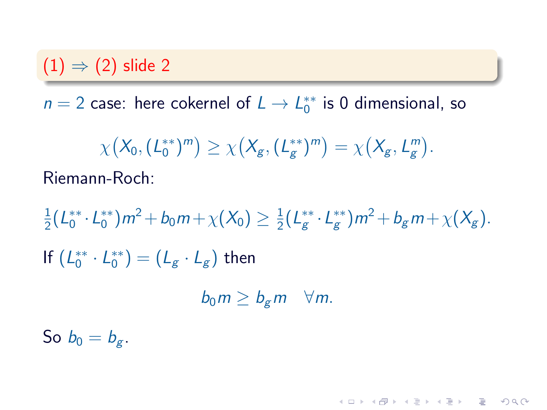### $(1) \Rightarrow (2)$  slide 2

 $n = 2$  case: here cokernel of  $L \rightarrow L_0^{**}$  is 0 dimensional, so

$$
\chi(X_0,(L_0^{**})^m) \ge \chi(X_g,(L_g^{**})^m) = \chi(X_g,L_g^m).
$$
  
Riemann-Roch:

1  $\frac{1}{2} (L_0^{**} \cdot L_0^{**}) m^2 + b_0 m + \chi(X_0) \geq \frac{1}{2}$  $\frac{1}{2}(L_g^{**}\cdot L_g^{**})m^2 + b_g m + \chi(X_g).$ If  $(L_0^{**} \cdot L_0^{**}) = (L_g \cdot L_g)$  then  $b_0 m > b_{\sigma} m \quad \forall m$ .

So  $b_0 = b_{\sigma}$ .

**HELMAN (E) (E) E MAN**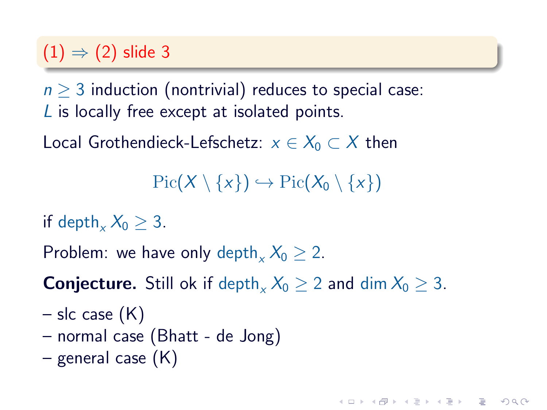### $(1) \Rightarrow (2)$  slide 3

 $n \geq 3$  induction (nontrivial) reduces to special case: L is locally free except at isolated points.

Local Grothendieck-Lefschetz:  $x \in X_0 \subset X$  then

 $Pic(X \setminus \{x\}) \hookrightarrow Pic(X_0 \setminus \{x\})$ 

**KOD RED RED CHARGE** 

if depth,  $X_0 > 3$ .

Problem: we have only depth,  $X_0 > 2$ .

**Conjecture.** Still ok if depth<sub>x</sub>  $X_0 \ge 2$  and dim  $X_0 \ge 3$ .

- $-$  slc case  $(K)$
- normal case (Bhatt de Jong)
- general case (K)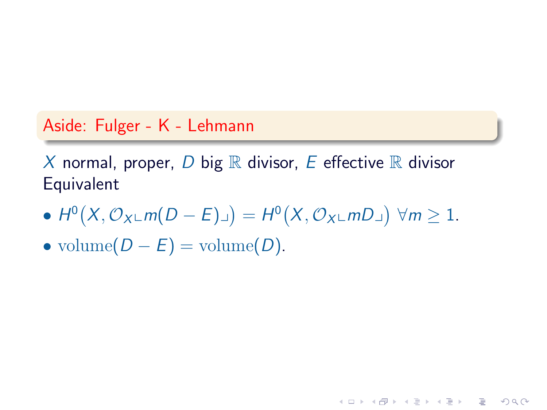#### Aside: Fulger - K - Lehmann

X normal, proper, D big  $\mathbb R$  divisor, E effective  $\mathbb R$  divisor **Equivalent** 

•  $H^0(X, \mathcal{O}_{X} \subset m(D - E) \cup ) = H^0(X, \mathcal{O}_{X} \subset mD \cup ) \ \forall m \ge 1.$ 

**HELMAN (E) (E) E MAN** 

• volume $(D - E)$  = volume $(D)$ .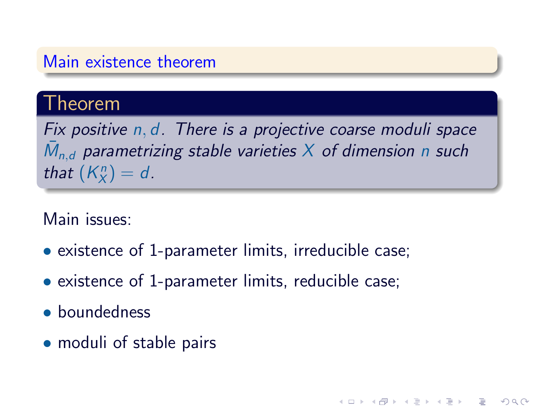#### Main existence theorem

#### Theorem

Fix positive n, d. There is a projective coarse moduli space  $\bar{M}_{n,d}$  parametrizing stable varieties  $X$  of dimension n such that  $(K_X^n) = d$ .

 $QQQ$ 

#### Main issues:

- existence of 1-parameter limits, irreducible case;
- existence of 1-parameter limits, reducible case;
- boundedness
- moduli of stable pairs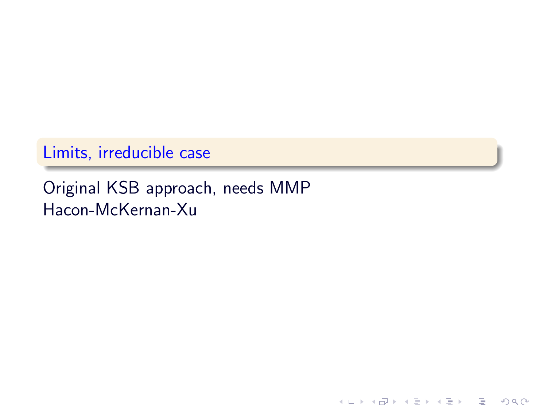### Limits, irreducible case

### Original KSB approach, needs MMP Hacon-McKernan-Xu

イロト イ部 トイモト イモト 一番に

 $2Q$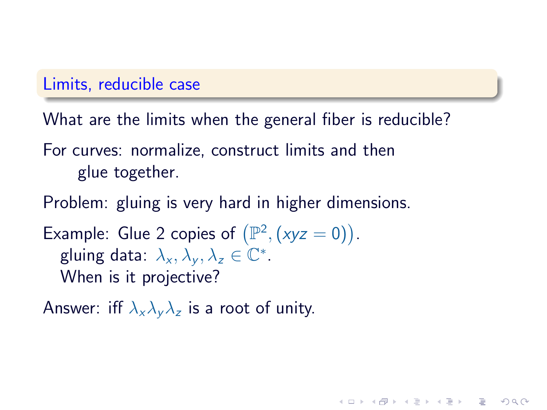#### Limits, reducible case

What are the limits when the general fiber is reducible?

**KOD RED RED CHARGE** 

For curves: normalize, construct limits and then glue together.

Problem: gluing is very hard in higher dimensions.

```
Example: Glue 2 copies of (\mathbb{P}^2, (xyz = 0)).
gluing data: \lambda_x, \lambda_y, \lambda_z \in \mathbb{C}^*.When is it projective?
```
Answer: iff  $\lambda_x \lambda_y \lambda_z$  is a root of unity.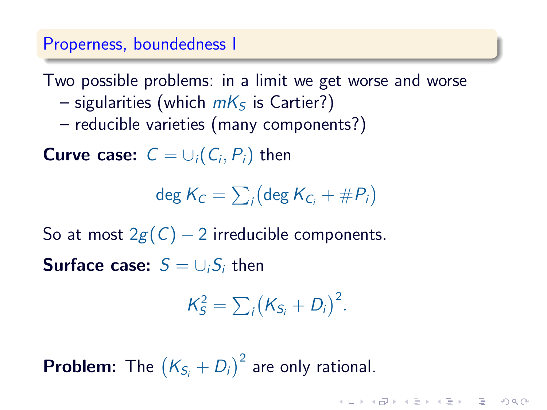#### Properness, boundedness I

Two possible problems: in a limit we get worse and worse

- sigularities (which  $mK<sub>S</sub>$  is Cartier?)
- reducible varieties (many components?)

**Curve case:**  $C = \cup_i (C_i, P_i)$  then

 $\deg K_C = \sum_i \bigl(\deg K_{C_i} + \#P_i\bigr)$ 

So at most  $2g(C) - 2$  irreducible components. **Surface case:**  $S = \bigcup_i S_i$  then

 $K_S^2 = \sum_i (K_{S_i} + D_i)^2$ .

**IN LANGEL AND REPORT** 

**Problem:** The  $(K_{S_i} + D_i)^2$  are only rational.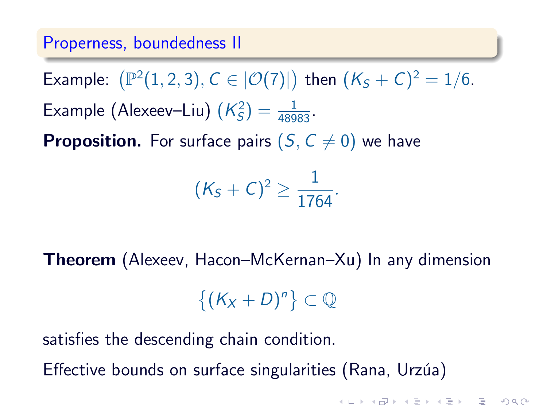#### Properness, boundedness II

Example:  $(\mathbb{P}^2(1,2,3), C \in |{\cal O}(7)|)$  then  $(K_S + C)^2 = 1/6$ . Example (Alexeev-Liu)  $(K_S^2) = \frac{1}{48983}$ .

**Proposition.** For surface pairs  $(S, C \neq 0)$  we have

$$
(K_S+C)^2\geq \frac{1}{1764}.
$$

Theorem (Alexeev, Hacon–McKernan–Xu) In any dimension

 $\{(K_X+D)^n\}\subset\mathbb{Q}$ 

satisfies the descending chain condition.

Effective bounds on surface singularities (Rana, Urzúa)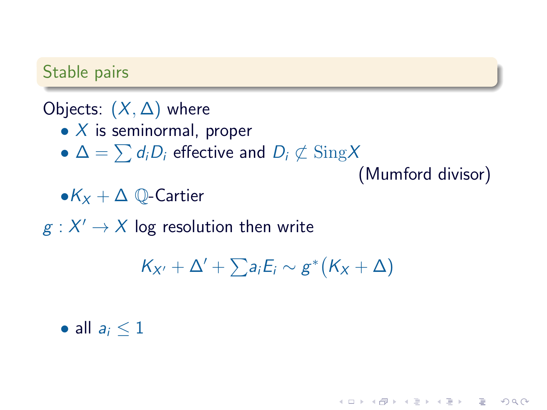#### Stable pairs

### Objects:  $(X, \Delta)$  where

- $X$  is seminormal, proper
- $\Delta = \sum d_i D_i$  effective and  $D_i \not\subset \text{Sing} X$

(Mumford divisor)

(ロ) (图) (경) (경) (경) (경) 9 00

 $\bullet K_X + \Delta$  ①-Cartier

 $g:X'\to X$  log resolution then write

$$
K_{X'}+\Delta'+\textstyle\sum a_iE_i\sim g^*(K_X+\Delta)
$$

• all  $a_i \leq 1$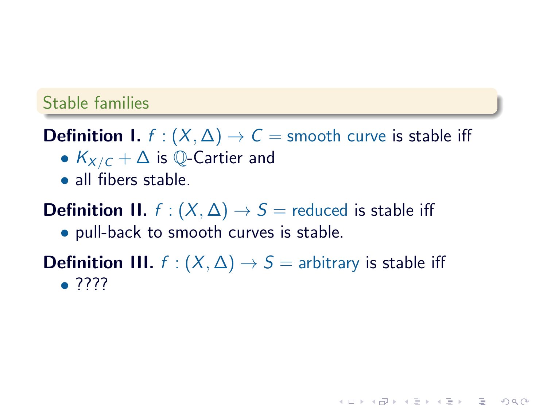#### Stable families

**Definition I.**  $f : (X, \Delta) \rightarrow C$  = smooth curve is stable iff

- $K_{X/C} + \Delta$  is Q-Cartier and
- all fibers stable.

**Definition II.**  $f : (X, \Delta) \rightarrow S$  = reduced is stable iff

• pull-back to smooth curves is stable.

**Definition III.**  $f : (X, \Delta) \rightarrow S =$  arbitrary is stable iff • ????

**HELMAN (E) (E) E MAN**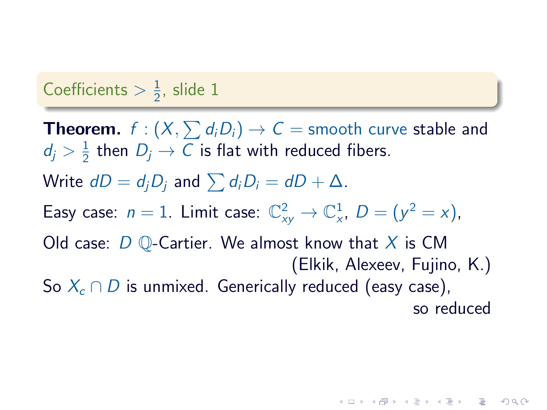#### Coefficients  $> \frac{1}{2}$  $\frac{1}{2}$ , slide 1

**Theorem.**  $f:(X, \sum d_i D_i) \rightarrow C=$  smooth curve stable and  $d_j>\frac{1}{2}$  $\frac{1}{2}$  then  $D_j \rightarrow C$  is flat with reduced fibers. Write  $dD = d_iD_i$  and  $\sum d_iD_i = dD + \Delta$ . Easy case:  $n = 1$ . Limit case:  $\mathbb{C}_{xy}^2 \to \mathbb{C}_{x}^1$ ,  $D = (y^2 = x)$ , Old case:  $D$   $\mathbb{O}$ -Cartier. We almost know that X is CM (Elkik, Alexeev, Fujino, K.) So  $X_c \cap D$  is unmixed. Generically reduced (easy case), so reduced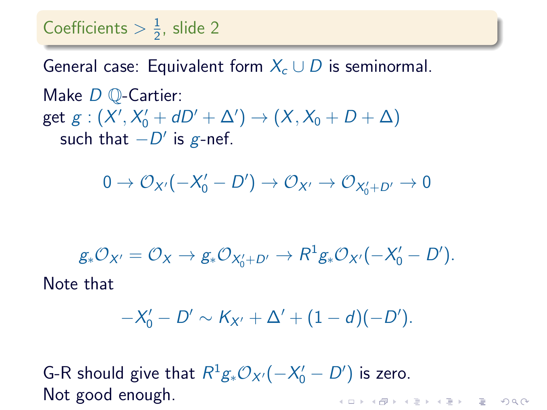#### Coefficients  $> \frac{1}{2}$  $\frac{1}{2}$ , slide 2

General case: Equivalent form  $X_c \cup D$  is seminormal. Make *D* **Q-Cartier**: get  $g:(X',X'_0+dD'+\Delta')\to (X,X_0+D+\Delta)$ such that  $-D'$  is g-nef.

$$
0\to \mathcal{O}_{X'}(-X'_0-D')\to \mathcal{O}_{X'}\to \mathcal{O}_{X'_0+D'}\to 0
$$

$$
g_*\mathcal{O}_{X'}=\mathcal{O}_X\to g_*\mathcal{O}_{X'_0+D'}\to R^1g_*\mathcal{O}_{X'}(-X'_0-D').
$$
  
Note that

$$
-X'_0 - D' \sim K_{X'} + \Delta' + (1 - d)(-D').
$$

G-R should give that  $R^1g_*\mathcal{O}_{X'}(-X'_0-D')$  is zero. Not good enough.